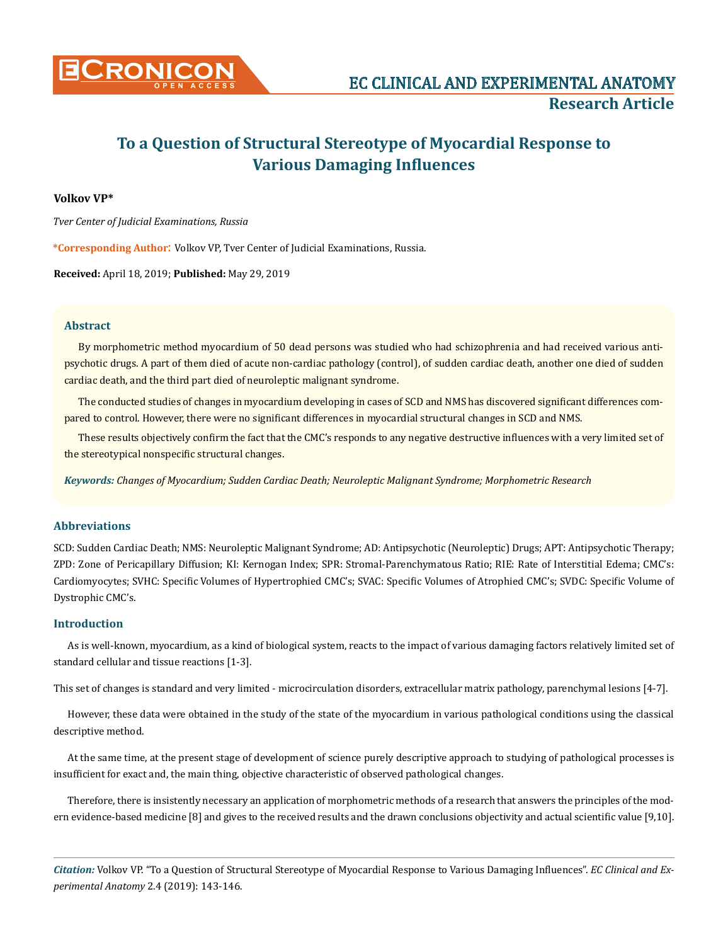

# **To a Question of Structural Stereotype of Myocardial Response to Various Damaging Influences**

## **Volkov VP\***

*Tver Center of Judicial Examinations, Russia*

**\*Corresponding Author**: Volkov VP, Tver Center of Judicial Examinations, Russia.

**Received:** April 18, 2019; **Published:** May 29, 2019

## **Abstract**

By morphometric method myocardium of 50 dead persons was studied who had schizophrenia and had received various antipsychotic drugs. A part of them died of acute non-cardiac pathology (control), of sudden cardiac death, another one died of sudden cardiac death, and the third part died of neuroleptic malignant syndrome.

The conducted studies of changes in myocardium developing in cases of SCD and NMS has discovered significant differences compared to control. However, there were no significant differences in myocardial structural changes in SCD and NMS.

These results objectively confirm the fact that the CMC's responds to any negative destructive influences with a very limited set of the stereotypical nonspecific structural changes.

*Keywords: Changes of Myocardium; Sudden Cardiac Death; Neuroleptic Malignant Syndrome; Morphometric Research*

## **Abbreviations**

SCD: Sudden Cardiac Death; NMS: Neuroleptic Malignant Syndrome; AD: Antipsychotic (Neuroleptic) Drugs; APT: Antipsychotic Therapy; ZPD: Zone of Pericapillary Diffusion; KI: Kernogan Index; SPR: Stromal-Parenchymatous Ratio; RIE: Rate of Interstitial Edema; CMC's: Cardiomyocytes; SVHC: Specific Volumes of Hypertrophied CMC's; SVAC: Specific Volumes of Atrophied CMC's; SVDC: Specific Volume of Dystrophic CMC's.

## **Introduction**

As is well-known, myocardium, as a kind of biological system, reacts to the impact of various damaging factors relatively limited set of standard cellular and tissue reactions [1-3].

This set of changes is standard and very limited - microcirculation disorders, extracellular matrix pathology, parenchymal lesions [4-7].

However, these data were obtained in the study of the state of the myocardium in various pathological conditions using the classical descriptive method.

At the same time, at the present stage of development of science purely descriptive approach to studying of pathological processes is insufficient for exact and, the main thing, objective characteristic of observed pathological changes.

Therefore, there is insistently necessary an application of morphometric methods of a research that answers the principles of the modern evidence-based medicine [8] and gives to the received results and the drawn conclusions objectivity and actual scientific value [9,10].

*Citation:* Volkov VP. "To a Question of Structural Stereotype of Myocardial Response to Various Damaging Influences". *EC Clinical and Experimental Anatomy* 2.4 (2019): 143-146.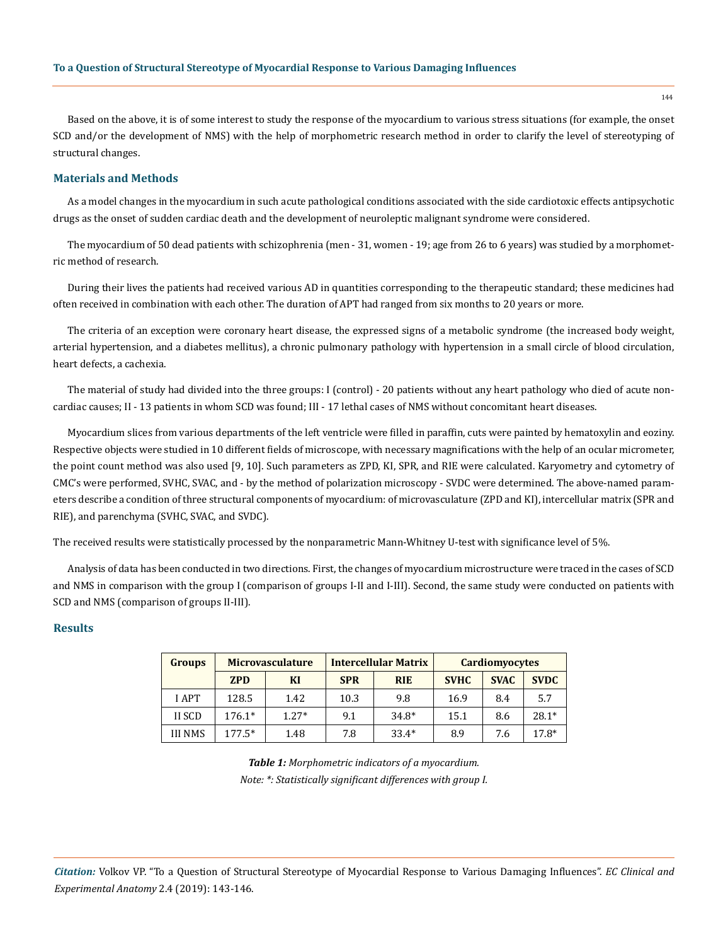Based on the above, it is of some interest to study the response of the myocardium to various stress situations (for example, the onset SCD and/or the development of NMS) with the help of morphometric research method in order to clarify the level of stereotyping of structural changes.

### **Materials and Methods**

As a model changes in the myocardium in such acute pathological conditions associated with the side cardiotoxic effects antipsychotic drugs as the onset of sudden cardiac death and the development of neuroleptic malignant syndrome were considered.

The myocardium of 50 dead patients with schizophrenia (men - 31, women - 19; age from 26 to 6 years) was studied by a morphometric method of research.

During their lives the patients had received various AD in quantities corresponding to the therapeutic standard; these medicines had often received in combination with each other. The duration of APT had ranged from six months to 20 years or more.

The criteria of an exception were coronary heart disease, the expressed signs of a metabolic syndrome (the increased body weight, arterial hypertension, and a diabetes mellitus), a chronic pulmonary pathology with hypertension in a small circle of blood circulation, heart defects, a cachexia.

The material of study had divided into the three groups: I (control) - 20 patients without any heart pathology who died of acute noncardiac causes; II - 13 patients in whom SCD was found; III - 17 lethal cases of NMS without concomitant heart diseases.

Myocardium slices from various departments of the left ventricle were filled in paraffin, cuts were painted by hematoxylin and eoziny. Respective objects were studied in 10 different fields of microscope, with necessary magnifications with the help of an ocular micrometer, the point count method was also used [9, 10]. Such parameters as ZPD, KI, SPR, and RIE were calculated. Karyometry and cytometry of CMC's were performed, SVHC, SVAC, and - by the method of polarization microscopy - SVDC were determined. The above-named parameters describe a condition of three structural components of myocardium: of microvasculature (ZPD and KI), intercellular matrix (SPR and RIE), and parenchyma (SVHC, SVAC, and SVDC).

The received results were statistically processed by the nonparametric Mann-Whitney U-test with significance level of 5%.

Analysis of data has been conducted in two directions. First, the changes of myocardium microstructure were traced in the cases of SCD and NMS in comparison with the group I (comparison of groups I-II and I-III). Second, the same study were conducted on patients with SCD and NMS (comparison of groups II-III).

## **Results**

| <b>Groups</b>  | <b>Microvasculature</b> |         | <b>Intercellular Matrix</b> |            | <b>Cardiomyocytes</b> |             |             |
|----------------|-------------------------|---------|-----------------------------|------------|-----------------------|-------------|-------------|
|                | <b>ZPD</b>              | KI      | <b>SPR</b>                  | <b>RIE</b> | <b>SVHC</b>           | <b>SVAC</b> | <b>SVDC</b> |
| I APT          | 128.5                   | 1.42    | 10.3                        | 9.8        | 16.9                  | 8.4         | 5.7         |
| II SCD         | $176.1*$                | $1.27*$ | 9.1                         | $34.8*$    | 15.1                  | 8.6         | $28.1*$     |
| <b>III NMS</b> | $177.5*$                | 1.48    | 7.8                         | $33.4*$    | 8.9                   | 7.6         | 17.8*       |

*Table 1: Morphometric indicators of a myocardium. Note: \*: Statistically significant differences with group I.* 144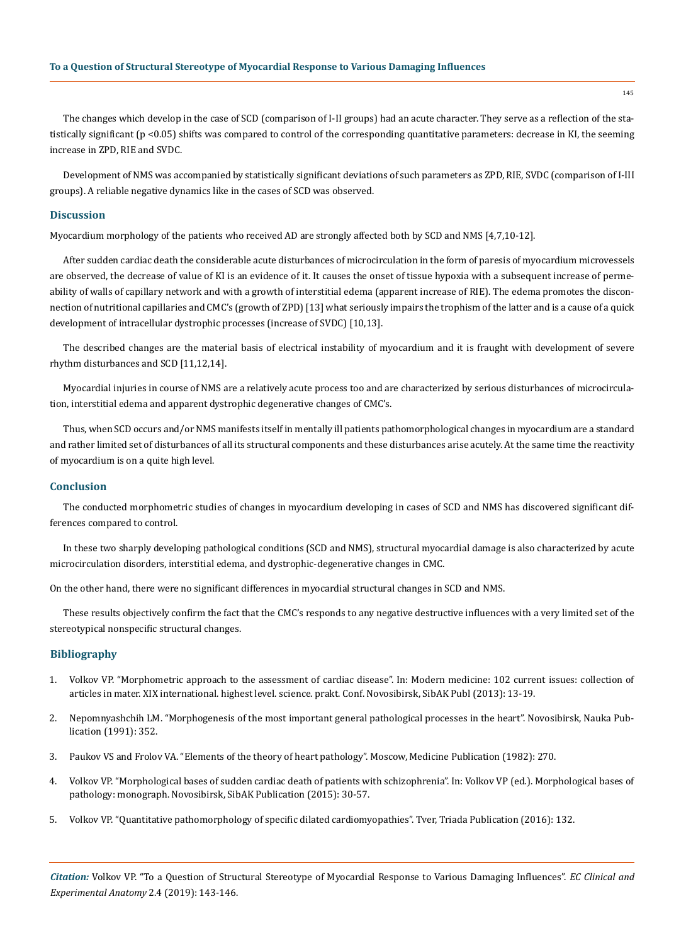The changes which develop in the case of SCD (comparison of I-II groups) had an acute character. They serve as a reflection of the statistically significant (p <0.05) shifts was compared to control of the corresponding quantitative parameters: decrease in KI, the seeming increase in ZPD, RIE and SVDC.

Development of NMS was accompanied by statistically significant deviations of such parameters as ZPD, RIE, SVDC (comparison of I-III groups). A reliable negative dynamics like in the cases of SCD was observed.

## **Discussion**

Myocardium morphology of the patients who received AD are strongly affected both by SCD and NMS [4,7,10-12].

After sudden cardiac death the considerable acute disturbances of microcirculation in the form of paresis of myocardium microvessels are observed, the decrease of value of KI is an evidence of it. It causes the onset of tissue hypoxia with a subsequent increase of permeability of walls of capillary network and with a growth of interstitial edema (apparent increase of RIE). The edema promotes the disconnection of nutritional capillaries and CMC's (growth of ZPD) [13] what seriously impairs the trophism of the latter and is a cause of a quick development of intracellular dystrophic processes (increase of SVDC) [10,13].

The described changes are the material basis of electrical instability of myocardium and it is fraught with development of severe rhythm disturbances and SCD [11,12,14].

Myocardial injuries in course of NMS are a relatively acute process too and are characterized by serious disturbances of microcirculation, interstitial edema and apparent dystrophic degenerative changes of CMC's.

Thus, when SCD occurs and/or NMS manifests itself in mentally ill patients pathomorphological changes in myocardium are a standard and rather limited set of disturbances of all its structural components and these disturbances arise acutely. At the same time the reactivity of myocardium is on a quite high level.

#### **Conclusion**

The conducted morphometric studies of changes in myocardium developing in cases of SCD and NMS has discovered significant differences compared to control.

In these two sharply developing pathological conditions (SCD and NMS), structural myocardial damage is also characterized by acute microcirculation disorders, interstitial edema, and dystrophic-degenerative changes in CMC.

On the other hand, there were no significant differences in myocardial structural changes in SCD and NMS.

These results objectively confirm the fact that the CMC's responds to any negative destructive influences with a very limited set of the stereotypical nonspecific structural changes.

#### **Bibliography**

- 1. Volkov VP. "Morphometric approach to the assessment of cardiac disease". In: Modern medicine: 102 current issues: collection of articles in mater. XIX international. highest level. science. prakt. Conf. Novosibirsk, SibAK Publ (2013): 13-19.
- 2. Nepomnyashchih LM. "Morphogenesis of the most important general pathological processes in the heart". Novosibirsk, Nauka Publication (1991): 352.
- 3. Paukov VS and Frolov VA. "Elements of the theory of heart pathology". Moscow, Medicine Publication (1982): 270.
- 4. Volkov VP. "Morphological bases of sudden cardiac death of patients with schizophrenia". In: Volkov VP (ed.). Morphological bases of pathology: monograph. Novosibirsk, SibAK Publication (2015): 30-57.
- 5. Volkov VP. "Quantitative pathomorphology of specific dilated cardiomyopathies". Tver, Triada Publication (2016): 132.

145